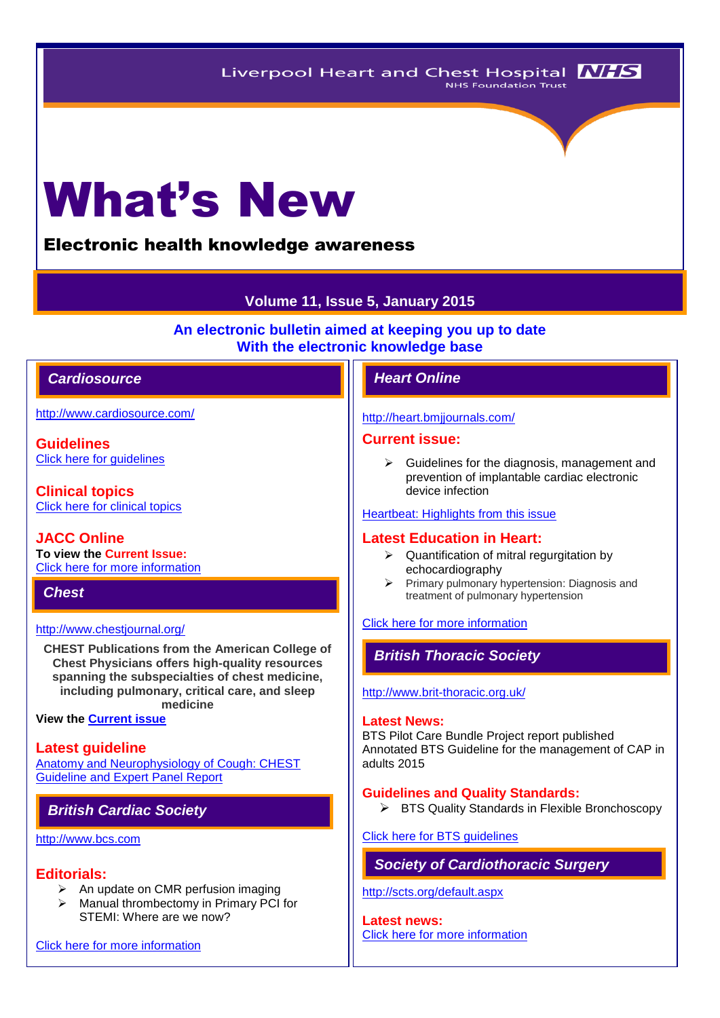# What's New

# Electronic health knowledge awareness

# **Volume 11, Issue 5, January 2015**

**An electronic bulletin aimed at keeping you up to date With the electronic knowledge base**

# *Cardiosource Heart Online*

<http://www.cardiosource.com/>

**Guidelines** [Click here for](http://www.acc.org/guidelines#sort=%40foriginalz32xpostedz32xdate86069%20descending&f:@fdocumentz32xtype86069=[Guidelines]&?/guidelines#sort=%40foriginalz32xpostedz32xdate86069%20descending&f:@fdocumentz32xtype86069=[Guidelines) guidelines

**Clinical topics** [Click here for clinical topics](http://www.acc.org/clinical-topics?w_nav=MN)

**JACC Online To view the Current Issue:** [Click here for more information](http://www.acc.org/jacc-journals)

*Chest* 

# <http://www.chestjournal.org/>

**CHEST Publications from the American College of Chest Physicians offers high-quality resources spanning the subspecialties of chest medicine, including pulmonary, critical care, and sleep medicine**

**View the [Current issue](http://journal.publications.chestnet.org/issue.aspx)**

# **Latest guideline**

[Anatomy and Neurophysiology of Cough: CHEST](http://journal.publications.chestnet.org/article.aspx?articleid=1902138)  [Guideline and Expert Panel Report](http://journal.publications.chestnet.org/article.aspx?articleid=1902138)

# *British Cardiac Society*

# [http://www.bcs.com](http://www.bcs.com/)

# **Editorials:**

- $\triangleright$  An update on CMR perfusion imaging
- Manual thrombectomy in Primary PCI for STEMI: Where are we now?

[Click here for more information](http://www.bcs.com/editorial/editorial.asp)

# <http://heart.bmjjournals.com/>

# **Current issue:**

 $\triangleright$  Guidelines for the diagnosis, management and prevention of implantable cardiac electronic device infection

#### [Heartbeat: Highlights from this issue](http://heart.bmj.com/content/100/15/1145.extract)

#### **Latest Education in Heart:**

- $\triangleright$  Quantification of mitral regurgitation by echocardiography
- $\triangleright$  Primary pulmonary hypertension: Diagnosis and treatment of pulmonary hypertension

# [Click here for more information](http://heart.bmj.com/site/about/education.xhtml)

# *British Thoracic Society*

#### <http://www.brit-thoracic.org.uk/>

#### **Latest News:**

BTS Pilot Care Bundle Project report published Annotated BTS Guideline for the management of CAP in adults 2015

#### **Guidelines and Quality Standards:**

▶ BTS Quality Standards in Flexible Bronchoscopy

#### [Click here for BTS guidelines](https://www.brit-thoracic.org.uk/guidelines-and-quality-standards/)

# *Society of Cardiothoracic Surgery*

#### <http://scts.org/default.aspx>

**Latest news:** [Click here for more information](http://scts.org/modules/news/)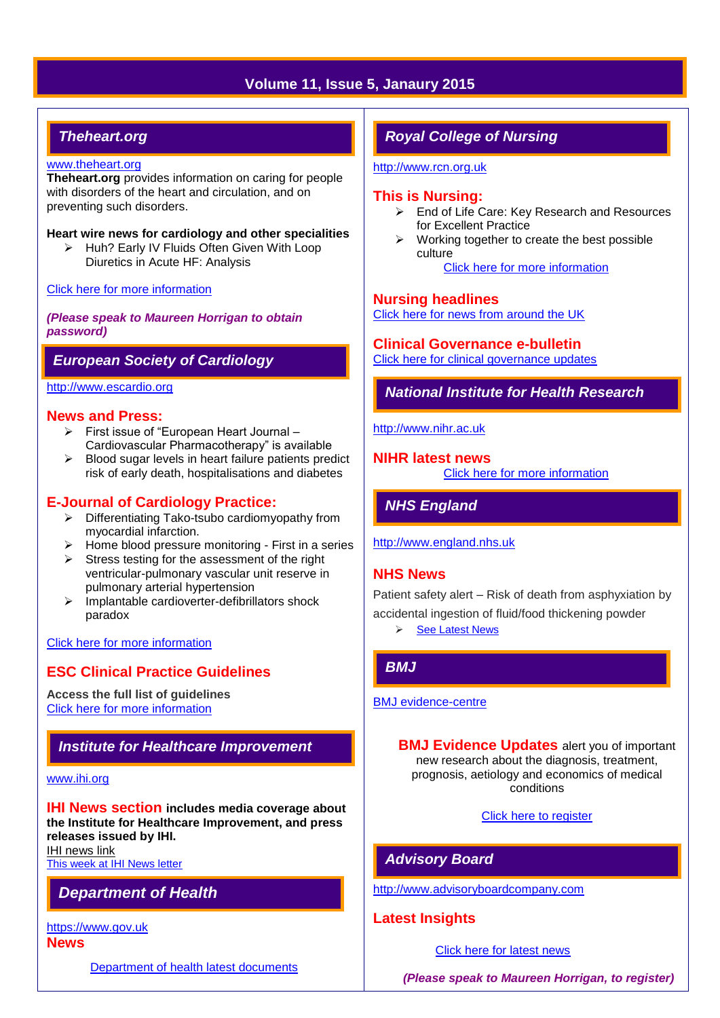# **Volume 11, Issue 5, Janaury 2015**

# *Theheart.org*

# [www.theheart.org](http://www.theheart.org/)

**Theheart.org** provides information on caring for people with disorders of the heart and circulation, and on preventing such disorders.

#### **Heart wire news for cardiology and other specialities**

 $\triangleright$  Huh? Early IV Fluids Often Given With Loop Diuretics in Acute HF: Analysis

#### [Click here for more information](http://www.medscape.com/cardiology)

*(Please speak to Maureen Horrigan to obtain password)*

# *European Society of Cardiology*

#### [http://www.escardio.org](http://www.escardio.org/Pages/index.aspx)

# **News and Press:**

- First issue of "European Heart Journal Cardiovascular Pharmacotherapy" is available
- $\triangleright$  Blood sugar levels in heart failure patients predict risk of early death, hospitalisations and diabetes

# **E-Journal of Cardiology Practice:**

- $\triangleright$  Differentiating Tako-tsubo cardiomyopathy from myocardial infarction.
- $\triangleright$  Home blood pressure monitoring First in a series
- $\triangleright$  Stress testing for the assessment of the right ventricular-pulmonary vascular unit reserve in pulmonary arterial hypertension
- $\triangleright$  Implantable cardioverter-defibrillators shock paradox

#### [Click here for more information](http://www.escardio.org/communities/councils/ccp/e-journal/Pages/welcome.aspx)

# **ESC Clinical Practice Guidelines**

**Access the full list of guidelines**  [Click here for more information](http://www.escardio.org/guidelines-surveys/esc-guidelines/Pages/GuidelinesList.aspx)

# *Institute for Healthcare Improvement*

#### [www.ihi.org](http://www.ihi.org/)

**IHI News section includes media coverage about the Institute for Healthcare Improvement, and press releases issued by IHI.**

[IHI news link](http://www.ihi.org/about/news/Pages/default.aspx) [This week at IHI News letter](http://www.ihi.org/Documents/ThisWeekatIHI.htm) 

# *Department of Health*

[https://www.gov.uk](https://www.gov.uk/government/organisations/department-of-health)

# **News**

[Department of health latest documents](https://www.gov.uk/government/latest?departments%5B%5D=department-of-health)

# *Royal College of Nursing*

[http://www.rcn.org.uk](http://www.rcn.org.uk/)

# **This is Nursing:**

- $\triangleright$  End of Life Care: Key Research and Resources for Excellent Practice
- $\triangleright$  Working together to create the best possible culture

[Click here for more information](http://thisisnursing.rcn.org.uk/members/)

# **Nursing headlines**

[Click here for news from around the UK](http://www.rcn.org.uk/newsevents/news)

# **Clinical Governance e-bulletin**

[Click here for clinical governance updates](http://www.rcn.org.uk/development/practice/clinical_governance/quality_and_safety_e-bulletin/e-bulletin_archive)

*National Institute for Health Research* 

[http://www.nihr.ac.uk](http://www.nihr.ac.uk/)

# **NIHR latest news**

[Click here for more information](http://www.nihr.ac.uk/news/Pages/default.aspx)

*NHS England*

[http://www.england.nhs.uk](http://www.england.nhs.uk/)

# **NHS News**

Patient safety alert – Risk of death from asphyxiation by accidental ingestion of fluid/food thickening powder **►** [See Latest News](http://www.england.nhs.uk/news/)

# *BMJ*

#### [BMJ evidence-centre](http://plus.mcmaster.ca/EvidenceUpdates/Default.aspx)

**BMJ Evidence Updates** alert you of important new research about the diagnosis, treatment, prognosis, aetiology and economics of medical conditions

[Click here to register](http://plus.mcmaster.ca/EvidenceUpdates/Registration.aspx)

# *Advisory Board*

[http://www.advisoryboardcompany.com](http://www.advisoryboardcompany.com/)

# **Latest Insights**

[Click here for latest news](http://www.advisory.com/International)

*(Please speak to Maureen Horrigan, to register)*